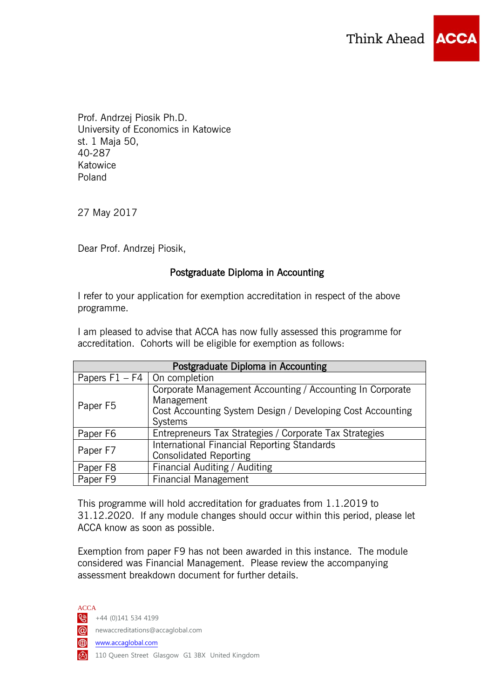

Prof. Andrzej Piosik Ph.D. University of Economics in Katowice st. 1 Maja 50, 40-287 Katowice Poland

27 May 2017

Dear Prof. Andrzej Piosik,

## Postgraduate Diploma in Accounting

I refer to your application for exemption accreditation in respect of the above programme.

I am pleased to advise that ACCA has now fully assessed this programme for accreditation. Cohorts will be eligible for exemption as follows:

| Postgraduate Diploma in Accounting |                                                                                                                                                  |
|------------------------------------|--------------------------------------------------------------------------------------------------------------------------------------------------|
| Papers $F1 - F4$                   | On completion                                                                                                                                    |
| Paper F5                           | Corporate Management Accounting / Accounting In Corporate<br>Management<br>Cost Accounting System Design / Developing Cost Accounting<br>Systems |
| Paper F6                           | Entrepreneurs Tax Strategies / Corporate Tax Strategies                                                                                          |
| Paper F7                           | International Financial Reporting Standards<br><b>Consolidated Reporting</b>                                                                     |
| Paper F8                           | Financial Auditing / Auditing                                                                                                                    |
| Paper F9                           | <b>Financial Management</b>                                                                                                                      |

This programme will hold accreditation for graduates from 1.1.2019 to 31.12.2020. If any module changes should occur within this period, please let ACCA know as soon as possible.

Exemption from paper F9 has not been awarded in this instance. The module considered was Financial Management. Please review the accompanying assessment breakdown document for further details.

ACCA  $\bigotimes$  +44 (0)141 534 4199 newaccreditations@accaglobal.com www.accaglobal.com 110 Queen Street Glasgow G1 3BX United Kingdom